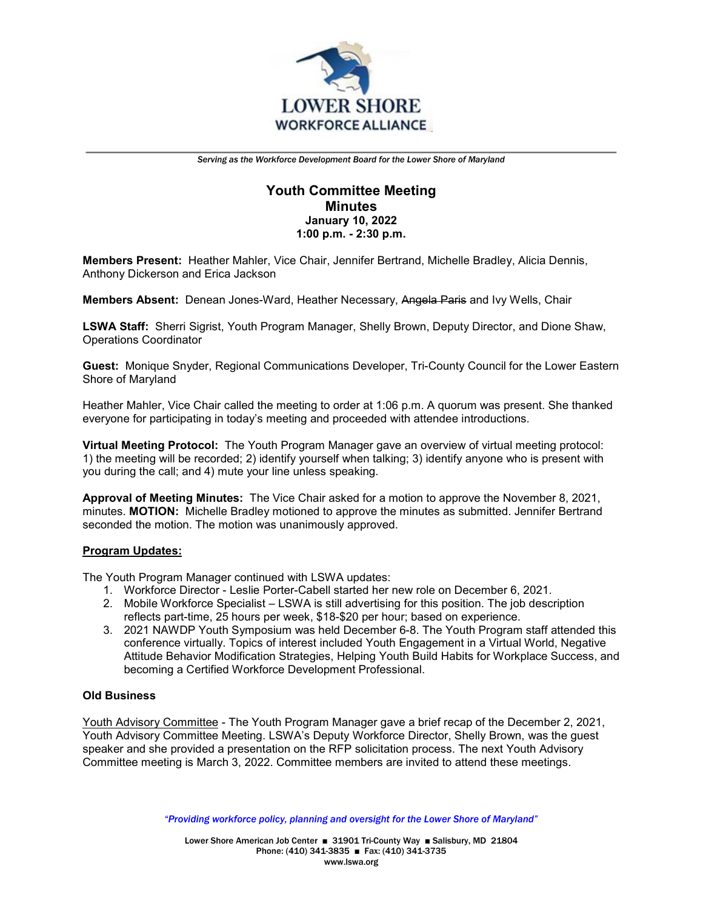

# **Youth Committee Meeting Minutes January 10, 2022 1:00 p.m. - 2:30 p.m.**

**Members Present:** Heather Mahler, Vice Chair, Jennifer Bertrand, Michelle Bradley, Alicia Dennis, Anthony Dickerson and Erica Jackson

**Members Absent:** Denean Jones-Ward, Heather Necessary, Angela Paris and Ivy Wells, Chair

**LSWA Staff:** Sherri Sigrist, Youth Program Manager, Shelly Brown, Deputy Director, and Dione Shaw, Operations Coordinator

**Guest:** Monique Snyder, Regional Communications Developer, Tri-County Council for the Lower Eastern Shore of Maryland

Heather Mahler, Vice Chair called the meeting to order at 1:06 p.m. A quorum was present. She thanked everyone for participating in today's meeting and proceeded with attendee introductions.

**Virtual Meeting Protocol:** The Youth Program Manager gave an overview of virtual meeting protocol: 1) the meeting will be recorded; 2) identify yourself when talking; 3) identify anyone who is present with you during the call; and 4) mute your line unless speaking.

**Approval of Meeting Minutes:** The Vice Chair asked for a motion to approve the November 8, 2021, minutes. **MOTION:** Michelle Bradley motioned to approve the minutes as submitted. Jennifer Bertrand seconded the motion. The motion was unanimously approved.

### **Program Updates:**

The Youth Program Manager continued with LSWA updates:

- 1. Workforce Director Leslie Porter-Cabell started her new role on December 6, 2021.
- 2. Mobile Workforce Specialist LSWA is still advertising for this position. The job description reflects part-time, 25 hours per week, \$18-\$20 per hour; based on experience.
- 3. 2021 NAWDP Youth Symposium was held December 6-8. The Youth Program staff attended this conference virtually. Topics of interest included Youth Engagement in a Virtual World, Negative Attitude Behavior Modification Strategies, Helping Youth Build Habits for Workplace Success, and becoming a Certified Workforce Development Professional.

### **Old Business**

Youth Advisory Committee - The Youth Program Manager gave a brief recap of the December 2, 2021, Youth Advisory Committee Meeting. LSWA's Deputy Workforce Director, Shelly Brown, was the guest speaker and she provided a presentation on the RFP solicitation process. The next Youth Advisory Committee meeting is March 3, 2022. Committee members are invited to attend these meetings.

*"Providing workforce policy, planning and oversight for the Lower Shore of Maryland"*

Lower Shore American Job Center ■ 31901 Tri-County Way ■ Salisbury, MD 21804 Phone: (410) 341-3835 ■ Fax: (410) 341-3735 www.lswa.org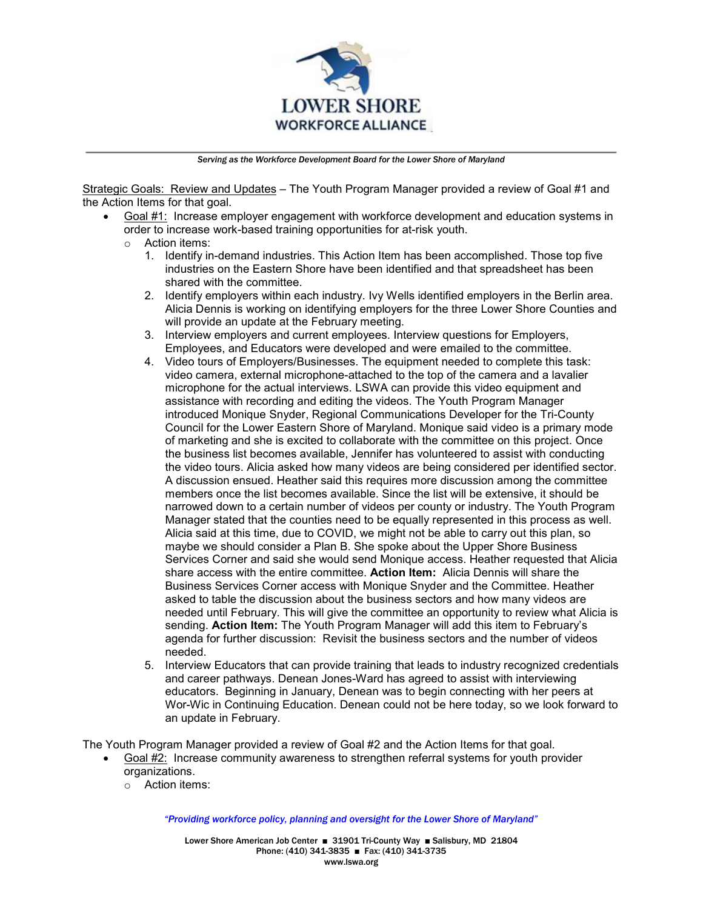

Strategic Goals: Review and Updates – The Youth Program Manager provided a review of Goal #1 and the Action Items for that goal.

- Goal #1: Increase employer engagement with workforce development and education systems in order to increase work-based training opportunities for at-risk youth.
	- o Action items:
		- 1. Identify in-demand industries. This Action Item has been accomplished. Those top five industries on the Eastern Shore have been identified and that spreadsheet has been shared with the committee.
		- 2. Identify employers within each industry. Ivy Wells identified employers in the Berlin area. Alicia Dennis is working on identifying employers for the three Lower Shore Counties and will provide an update at the February meeting.
		- 3. Interview employers and current employees. Interview questions for Employers, Employees, and Educators were developed and were emailed to the committee.
		- 4. Video tours of Employers/Businesses. The equipment needed to complete this task: video camera, external microphone-attached to the top of the camera and a lavalier microphone for the actual interviews. LSWA can provide this video equipment and assistance with recording and editing the videos. The Youth Program Manager introduced Monique Snyder, Regional Communications Developer for the Tri-County Council for the Lower Eastern Shore of Maryland. Monique said video is a primary mode of marketing and she is excited to collaborate with the committee on this project. Once the business list becomes available, Jennifer has volunteered to assist with conducting the video tours. Alicia asked how many videos are being considered per identified sector. A discussion ensued. Heather said this requires more discussion among the committee members once the list becomes available. Since the list will be extensive, it should be narrowed down to a certain number of videos per county or industry. The Youth Program Manager stated that the counties need to be equally represented in this process as well. Alicia said at this time, due to COVID, we might not be able to carry out this plan, so maybe we should consider a Plan B. She spoke about the Upper Shore Business Services Corner and said she would send Monique access. Heather requested that Alicia share access with the entire committee. **Action Item:** Alicia Dennis will share the Business Services Corner access with Monique Snyder and the Committee. Heather asked to table the discussion about the business sectors and how many videos are needed until February. This will give the committee an opportunity to review what Alicia is sending. **Action Item:** The Youth Program Manager will add this item to February's agenda for further discussion: Revisit the business sectors and the number of videos needed.
		- 5. Interview Educators that can provide training that leads to industry recognized credentials and career pathways. Denean Jones-Ward has agreed to assist with interviewing educators. Beginning in January, Denean was to begin connecting with her peers at Wor-Wic in Continuing Education. Denean could not be here today, so we look forward to an update in February.

The Youth Program Manager provided a review of Goal #2 and the Action Items for that goal.

- Goal #2: Increase community awareness to strengthen referral systems for youth provider organizations.
	- o Action items:

*"Providing workforce policy, planning and oversight for the Lower Shore of Maryland"*

Lower Shore American Job Center ■ 31901 Tri-County Way ■ Salisbury, MD 21804 Phone: (410) 341-3835 ■ Fax: (410) 341-3735 www.lswa.org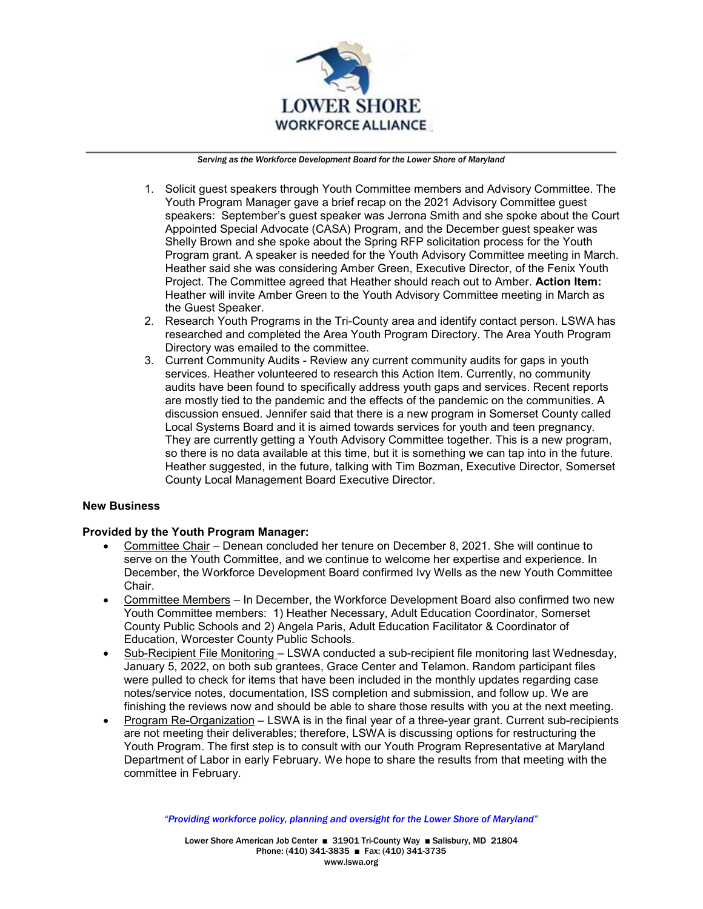

- 1. Solicit guest speakers through Youth Committee members and Advisory Committee. The Youth Program Manager gave a brief recap on the 2021 Advisory Committee guest speakers: September's guest speaker was Jerrona Smith and she spoke about the Court Appointed Special Advocate (CASA) Program, and the December guest speaker was Shelly Brown and she spoke about the Spring RFP solicitation process for the Youth Program grant. A speaker is needed for the Youth Advisory Committee meeting in March. Heather said she was considering Amber Green, Executive Director, of the Fenix Youth Project. The Committee agreed that Heather should reach out to Amber. **Action Item:** Heather will invite Amber Green to the Youth Advisory Committee meeting in March as the Guest Speaker.
- 2. Research Youth Programs in the Tri-County area and identify contact person. LSWA has researched and completed the Area Youth Program Directory. The Area Youth Program Directory was emailed to the committee.
- 3. Current Community Audits Review any current community audits for gaps in youth services. Heather volunteered to research this Action Item. Currently, no community audits have been found to specifically address youth gaps and services. Recent reports are mostly tied to the pandemic and the effects of the pandemic on the communities. A discussion ensued. Jennifer said that there is a new program in Somerset County called Local Systems Board and it is aimed towards services for youth and teen pregnancy. They are currently getting a Youth Advisory Committee together. This is a new program, so there is no data available at this time, but it is something we can tap into in the future. Heather suggested, in the future, talking with Tim Bozman, Executive Director, Somerset County Local Management Board Executive Director.

### **New Business**

### **Provided by the Youth Program Manager:**

- Committee Chair Denean concluded her tenure on December 8, 2021. She will continue to serve on the Youth Committee, and we continue to welcome her expertise and experience. In December, the Workforce Development Board confirmed Ivy Wells as the new Youth Committee Chair.
- Committee Members In December, the Workforce Development Board also confirmed two new Youth Committee members: 1) Heather Necessary, Adult Education Coordinator, Somerset County Public Schools and 2) Angela Paris, Adult Education Facilitator & Coordinator of Education, Worcester County Public Schools.
- Sub-Recipient File Monitoring LSWA conducted a sub-recipient file monitoring last Wednesday, January 5, 2022, on both sub grantees, Grace Center and Telamon. Random participant files were pulled to check for items that have been included in the monthly updates regarding case notes/service notes, documentation, ISS completion and submission, and follow up. We are finishing the reviews now and should be able to share those results with you at the next meeting.
- Program Re-Organization LSWA is in the final year of a three-year grant. Current sub-recipients are not meeting their deliverables; therefore, LSWA is discussing options for restructuring the Youth Program. The first step is to consult with our Youth Program Representative at Maryland Department of Labor in early February. We hope to share the results from that meeting with the committee in February.

*"Providing workforce policy, planning and oversight for the Lower Shore of Maryland"*